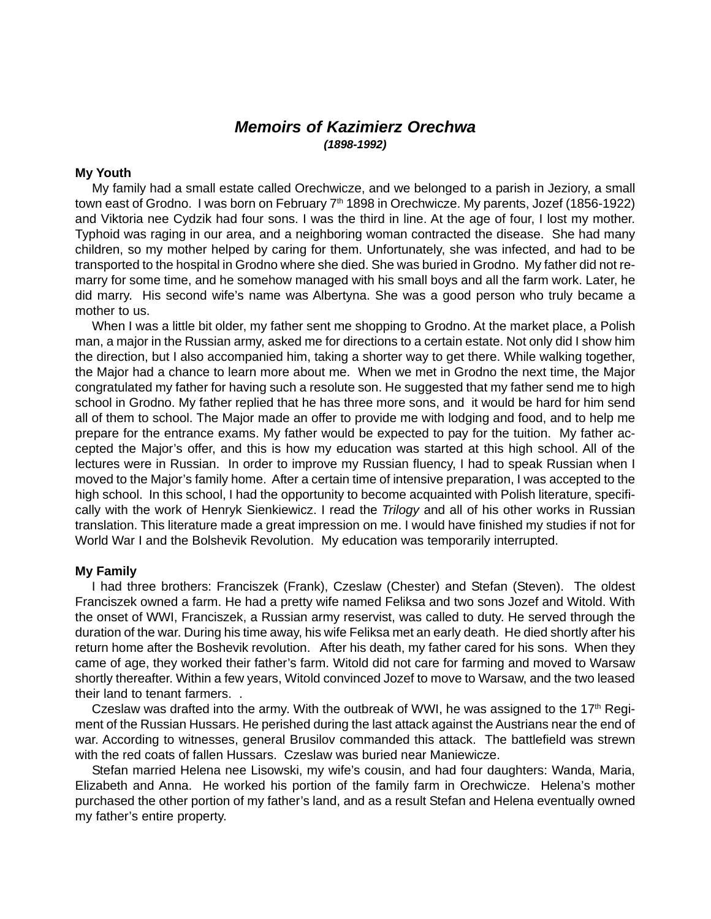# **Memoirs of Kazimierz Orechwa (1898-1992)**

# **My Youth**

My family had a small estate called Orechwicze, and we belonged to a parish in Jeziory, a small town east of Grodno. I was born on February 7<sup>th</sup> 1898 in Orechwicze. My parents, Jozef (1856-1922) and Viktoria nee Cydzik had four sons. I was the third in line. At the age of four, I lost my mother. Typhoid was raging in our area, and a neighboring woman contracted the disease. She had many children, so my mother helped by caring for them. Unfortunately, she was infected, and had to be transported to the hospital in Grodno where she died. She was buried in Grodno. My father did not remarry for some time, and he somehow managed with his small boys and all the farm work. Later, he did marry. His second wife's name was Albertyna. She was a good person who truly became a mother to us.

When I was a little bit older, my father sent me shopping to Grodno. At the market place, a Polish man, a major in the Russian army, asked me for directions to a certain estate. Not only did I show him the direction, but I also accompanied him, taking a shorter way to get there. While walking together, the Major had a chance to learn more about me. When we met in Grodno the next time, the Major congratulated my father for having such a resolute son. He suggested that my father send me to high school in Grodno. My father replied that he has three more sons, and it would be hard for him send all of them to school. The Major made an offer to provide me with lodging and food, and to help me prepare for the entrance exams. My father would be expected to pay for the tuition. My father accepted the Major's offer, and this is how my education was started at this high school. All of the lectures were in Russian. In order to improve my Russian fluency, I had to speak Russian when I moved to the Major's family home. After a certain time of intensive preparation, I was accepted to the high school. In this school, I had the opportunity to become acquainted with Polish literature, specifically with the work of Henryk Sienkiewicz. I read the *Trilogy* and all of his other works in Russian translation. This literature made a great impression on me. I would have finished my studies if not for World War I and the Bolshevik Revolution. My education was temporarily interrupted.

# **My Family**

I had three brothers: Franciszek (Frank), Czeslaw (Chester) and Stefan (Steven). The oldest Franciszek owned a farm. He had a pretty wife named Feliksa and two sons Jozef and Witold. With the onset of WWI, Franciszek, a Russian army reservist, was called to duty. He served through the duration of the war. During his time away, his wife Feliksa met an early death. He died shortly after his return home after the Boshevik revolution. After his death, my father cared for his sons. When they came of age, they worked their father's farm. Witold did not care for farming and moved to Warsaw shortly thereafter. Within a few years, Witold convinced Jozef to move to Warsaw, and the two leased their land to tenant farmers. .

Czeslaw was drafted into the army. With the outbreak of WWI, he was assigned to the  $17<sup>th</sup>$  Regiment of the Russian Hussars. He perished during the last attack against the Austrians near the end of war. According to witnesses, general Brusilov commanded this attack. The battlefield was strewn with the red coats of fallen Hussars. Czeslaw was buried near Maniewicze.

Stefan married Helena nee Lisowski, my wife's cousin, and had four daughters: Wanda, Maria, Elizabeth and Anna. He worked his portion of the family farm in Orechwicze. Helena's mother purchased the other portion of my father's land, and as a result Stefan and Helena eventually owned my father's entire property.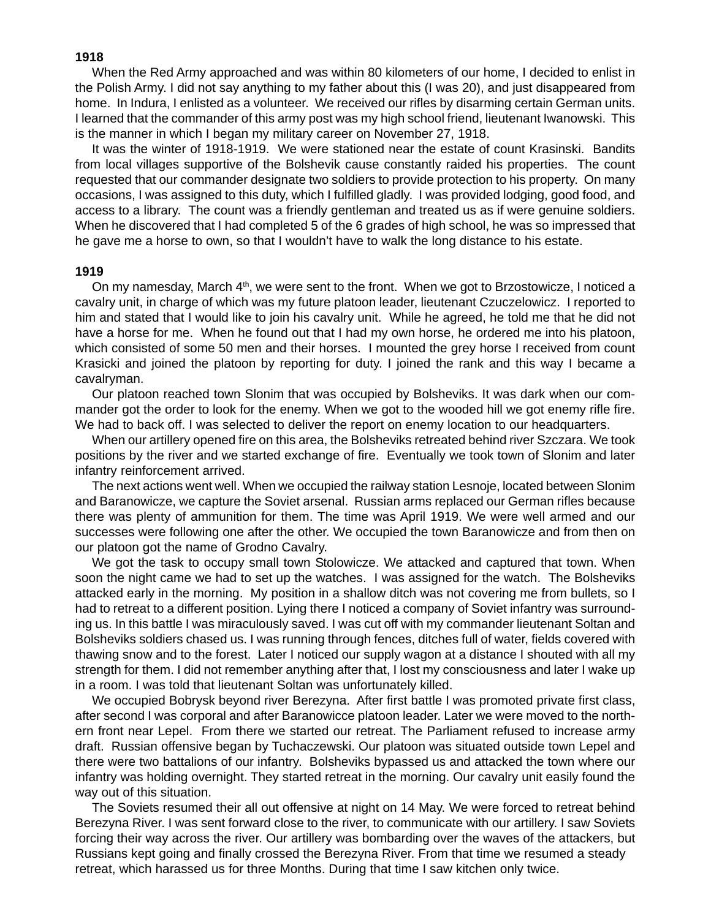# **1918**

When the Red Army approached and was within 80 kilometers of our home, I decided to enlist in the Polish Army. I did not say anything to my father about this (I was 20), and just disappeared from home. In Indura, I enlisted as a volunteer. We received our rifles by disarming certain German units. I learned that the commander of this army post was my high school friend, lieutenant Iwanowski. This is the manner in which I began my military career on November 27, 1918.

It was the winter of 1918-1919. We were stationed near the estate of count Krasinski. Bandits from local villages supportive of the Bolshevik cause constantly raided his properties. The count requested that our commander designate two soldiers to provide protection to his property. On many occasions, I was assigned to this duty, which I fulfilled gladly. I was provided lodging, good food, and access to a library. The count was a friendly gentleman and treated us as if were genuine soldiers. When he discovered that I had completed 5 of the 6 grades of high school, he was so impressed that he gave me a horse to own, so that I wouldn't have to walk the long distance to his estate.

# **1919**

On my namesday, March  $4<sup>th</sup>$ , we were sent to the front. When we got to Brzostowicze, I noticed a cavalry unit, in charge of which was my future platoon leader, lieutenant Czuczelowicz. I reported to him and stated that I would like to join his cavalry unit. While he agreed, he told me that he did not have a horse for me. When he found out that I had my own horse, he ordered me into his platoon, which consisted of some 50 men and their horses. I mounted the grey horse I received from count Krasicki and joined the platoon by reporting for duty. I joined the rank and this way I became a cavalryman.

Our platoon reached town Slonim that was occupied by Bolsheviks. It was dark when our commander got the order to look for the enemy. When we got to the wooded hill we got enemy rifle fire. We had to back off. I was selected to deliver the report on enemy location to our headquarters.

When our artillery opened fire on this area, the Bolsheviks retreated behind river Szczara. We took positions by the river and we started exchange of fire. Eventually we took town of Slonim and later infantry reinforcement arrived.

The next actions went well. When we occupied the railway station Lesnoje, located between Slonim and Baranowicze, we capture the Soviet arsenal. Russian arms replaced our German rifles because there was plenty of ammunition for them. The time was April 1919. We were well armed and our successes were following one after the other. We occupied the town Baranowicze and from then on our platoon got the name of Grodno Cavalry.

We got the task to occupy small town Stolowicze. We attacked and captured that town. When soon the night came we had to set up the watches. I was assigned for the watch. The Bolsheviks attacked early in the morning. My position in a shallow ditch was not covering me from bullets, so I had to retreat to a different position. Lying there I noticed a company of Soviet infantry was surrounding us. In this battle I was miraculously saved. I was cut off with my commander lieutenant Soltan and Bolsheviks soldiers chased us. I was running through fences, ditches full of water, fields covered with thawing snow and to the forest. Later I noticed our supply wagon at a distance I shouted with all my strength for them. I did not remember anything after that, I lost my consciousness and later I wake up in a room. I was told that lieutenant Soltan was unfortunately killed.

We occupied Bobrysk beyond river Berezyna. After first battle I was promoted private first class, after second I was corporal and after Baranowicce platoon leader. Later we were moved to the northern front near Lepel. From there we started our retreat. The Parliament refused to increase army draft. Russian offensive began by Tuchaczewski. Our platoon was situated outside town Lepel and there were two battalions of our infantry. Bolsheviks bypassed us and attacked the town where our infantry was holding overnight. They started retreat in the morning. Our cavalry unit easily found the way out of this situation.

The Soviets resumed their all out offensive at night on 14 May. We were forced to retreat behind Berezyna River. I was sent forward close to the river, to communicate with our artillery. I saw Soviets forcing their way across the river. Our artillery was bombarding over the waves of the attackers, but Russians kept going and finally crossed the Berezyna River. From that time we resumed a steady retreat, which harassed us for three Months. During that time I saw kitchen only twice.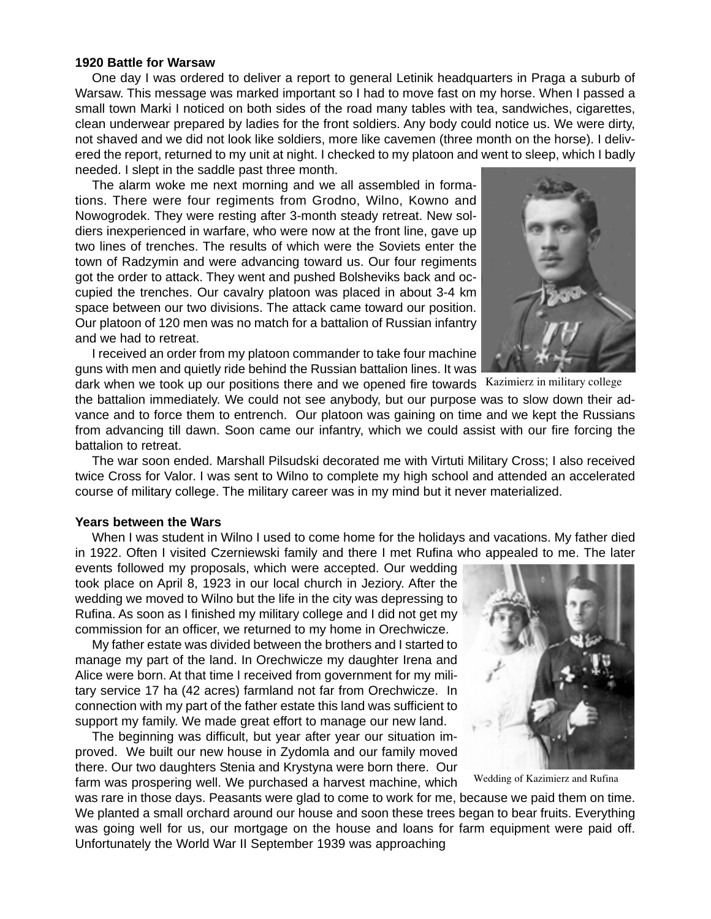# **1920 Battle for Warsaw**

One day I was ordered to deliver a report to general Letinik headquarters in Praga a suburb of Warsaw. This message was marked important so I had to move fast on my horse. When I passed a small town Marki I noticed on both sides of the road many tables with tea, sandwiches, cigarettes, clean underwear prepared by ladies for the front soldiers. Any body could notice us. We were dirty, not shaved and we did not look like soldiers, more like cavemen (three month on the horse). I delivered the report, returned to my unit at night. I checked to my platoon and went to sleep, which I badly needed. I slept in the saddle past three month.

The alarm woke me next morning and we all assembled in formations. There were four regiments from Grodno, Wilno, Kowno and Nowogrodek. They were resting after 3-month steady retreat. New soldiers inexperienced in warfare, who were now at the front line, gave up two lines of trenches. The results of which were the Soviets enter the town of Radzymin and were advancing toward us. Our four regiments got the order to attack. They went and pushed Bolsheviks back and occupied the trenches. Our cavalry platoon was placed in about 3-4 km space between our two divisions. The attack came toward our position. Our platoon of 120 men was no match for a battalion of Russian infantry and we had to retreat.

I received an order from my platoon commander to take four machine guns with men and quietly ride behind the Russian battalion lines. It was



dark when we took up our positions there and we opened fire towards Kazimierz in military college

the battalion immediately. We could not see anybody, but our purpose was to slow down their advance and to force them to entrench. Our platoon was gaining on time and we kept the Russians from advancing till dawn. Soon came our infantry, which we could assist with our fire forcing the battalion to retreat.

The war soon ended. Marshall Pilsudski decorated me with Virtuti Military Cross; I also received twice Cross for Valor. I was sent to Wilno to complete my high school and attended an accelerated course of military college. The military career was in my mind but it never materialized.

#### **Years between the Wars**

When I was student in Wilno I used to come home for the holidays and vacations. My father died in 1922. Often I visited Czerniewski family and there I met Rufina who appealed to me. The later

events followed my proposals, which were accepted. Our wedding took place on April 8, 1923 in our local church in Jeziory. After the wedding we moved to Wilno but the life in the city was depressing to Rufina. As soon as I finished my military college and I did not get my commission for an officer, we returned to my home in Orechwicze.

My father estate was divided between the brothers and I started to manage my part of the land. In Orechwicze my daughter Irena and Alice were born. At that time I received from government for my military service 17 ha (42 acres) farmland not far from Orechwicze. In connection with my part of the father estate this land was sufficient to support my family. We made great effort to manage our new land.

The beginning was difficult, but year after year our situation improved. We built our new house in Zydomla and our family moved there. Our two daughters Stenia and Krystyna were born there. Our farm was prospering well. We purchased a harvest machine, which



Wedding of Kazimierz and Rufina

was rare in those days. Peasants were glad to come to work for me, because we paid them on time. We planted a small orchard around our house and soon these trees began to bear fruits. Everything was going well for us, our mortgage on the house and loans for farm equipment were paid off. Unfortunately the World War II September 1939 was approaching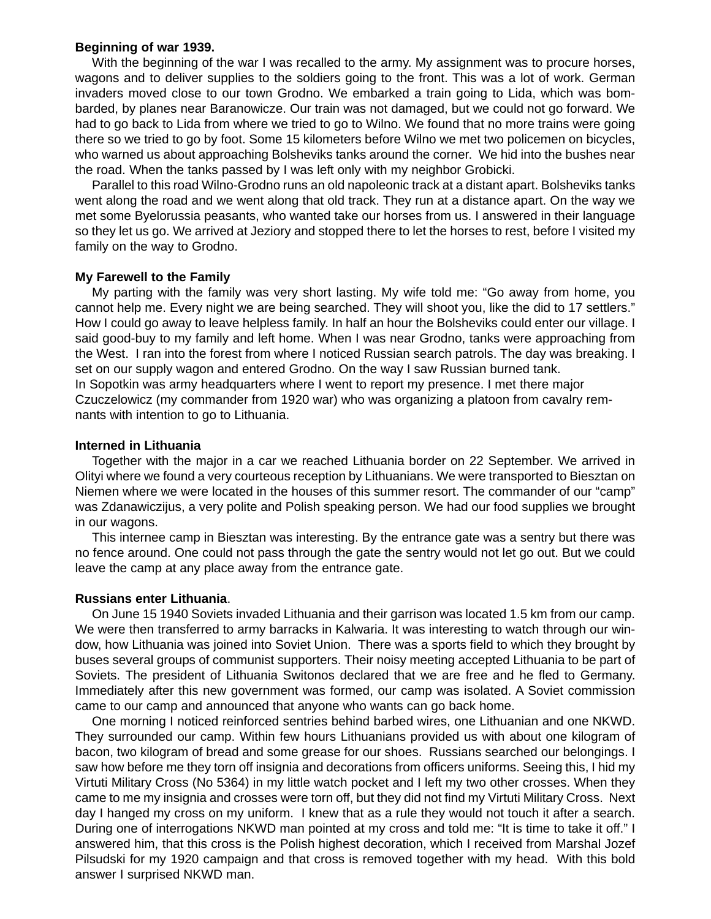#### **Beginning of war 1939.**

With the beginning of the war I was recalled to the army. My assignment was to procure horses, wagons and to deliver supplies to the soldiers going to the front. This was a lot of work. German invaders moved close to our town Grodno. We embarked a train going to Lida, which was bombarded, by planes near Baranowicze. Our train was not damaged, but we could not go forward. We had to go back to Lida from where we tried to go to Wilno. We found that no more trains were going there so we tried to go by foot. Some 15 kilometers before Wilno we met two policemen on bicycles, who warned us about approaching Bolsheviks tanks around the corner. We hid into the bushes near the road. When the tanks passed by I was left only with my neighbor Grobicki.

Parallel to this road Wilno-Grodno runs an old napoleonic track at a distant apart. Bolsheviks tanks went along the road and we went along that old track. They run at a distance apart. On the way we met some Byelorussia peasants, who wanted take our horses from us. I answered in their language so they let us go. We arrived at Jeziory and stopped there to let the horses to rest, before I visited my family on the way to Grodno.

# **My Farewell to the Family**

My parting with the family was very short lasting. My wife told me: "Go away from home, you cannot help me. Every night we are being searched. They will shoot you, like the did to 17 settlers." How I could go away to leave helpless family. In half an hour the Bolsheviks could enter our village. I said good-buy to my family and left home. When I was near Grodno, tanks were approaching from the West. I ran into the forest from where I noticed Russian search patrols. The day was breaking. I set on our supply wagon and entered Grodno. On the way I saw Russian burned tank. In Sopotkin was army headquarters where I went to report my presence. I met there major Czuczelowicz (my commander from 1920 war) who was organizing a platoon from cavalry remnants with intention to go to Lithuania.

#### **Interned in Lithuania**

Together with the major in a car we reached Lithuania border on 22 September. We arrived in Olityi where we found a very courteous reception by Lithuanians. We were transported to Biesztan on Niemen where we were located in the houses of this summer resort. The commander of our "camp" was Zdanawiczijus, a very polite and Polish speaking person. We had our food supplies we brought in our wagons.

This internee camp in Biesztan was interesting. By the entrance gate was a sentry but there was no fence around. One could not pass through the gate the sentry would not let go out. But we could leave the camp at any place away from the entrance gate.

#### **Russians enter Lithuania**.

On June 15 1940 Soviets invaded Lithuania and their garrison was located 1.5 km from our camp. We were then transferred to army barracks in Kalwaria. It was interesting to watch through our window, how Lithuania was joined into Soviet Union. There was a sports field to which they brought by buses several groups of communist supporters. Their noisy meeting accepted Lithuania to be part of Soviets. The president of Lithuania Switonos declared that we are free and he fled to Germany. Immediately after this new government was formed, our camp was isolated. A Soviet commission came to our camp and announced that anyone who wants can go back home.

One morning I noticed reinforced sentries behind barbed wires, one Lithuanian and one NKWD. They surrounded our camp. Within few hours Lithuanians provided us with about one kilogram of bacon, two kilogram of bread and some grease for our shoes. Russians searched our belongings. I saw how before me they torn off insignia and decorations from officers uniforms. Seeing this, I hid my Virtuti Military Cross (No 5364) in my little watch pocket and I left my two other crosses. When they came to me my insignia and crosses were torn off, but they did not find my Virtuti Military Cross. Next day I hanged my cross on my uniform. I knew that as a rule they would not touch it after a search. During one of interrogations NKWD man pointed at my cross and told me: "It is time to take it off." I answered him, that this cross is the Polish highest decoration, which I received from Marshal Jozef Pilsudski for my 1920 campaign and that cross is removed together with my head. With this bold answer I surprised NKWD man.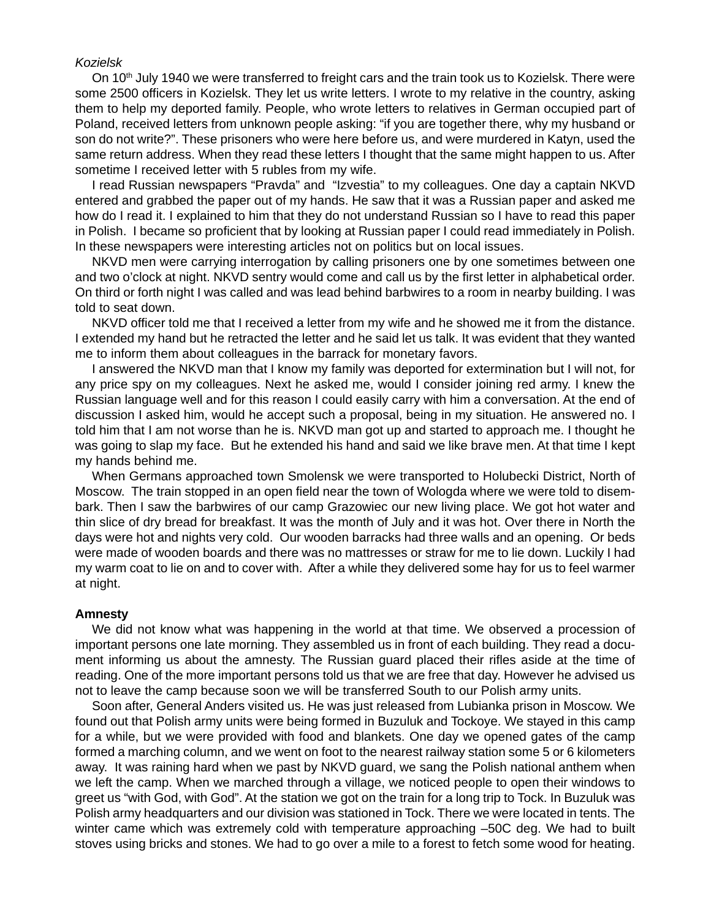#### Kozielsk

On 10<sup>th</sup> July 1940 we were transferred to freight cars and the train took us to Kozielsk. There were some 2500 officers in Kozielsk. They let us write letters. I wrote to my relative in the country, asking them to help my deported family. People, who wrote letters to relatives in German occupied part of Poland, received letters from unknown people asking: "if you are together there, why my husband or son do not write?". These prisoners who were here before us, and were murdered in Katyn, used the same return address. When they read these letters I thought that the same might happen to us. After sometime I received letter with 5 rubles from my wife.

I read Russian newspapers "Pravda" and "Izvestia" to my colleagues. One day a captain NKVD entered and grabbed the paper out of my hands. He saw that it was a Russian paper and asked me how do I read it. I explained to him that they do not understand Russian so I have to read this paper in Polish. I became so proficient that by looking at Russian paper I could read immediately in Polish. In these newspapers were interesting articles not on politics but on local issues.

NKVD men were carrying interrogation by calling prisoners one by one sometimes between one and two o'clock at night. NKVD sentry would come and call us by the first letter in alphabetical order. On third or forth night I was called and was lead behind barbwires to a room in nearby building. I was told to seat down.

NKVD officer told me that I received a letter from my wife and he showed me it from the distance. I extended my hand but he retracted the letter and he said let us talk. It was evident that they wanted me to inform them about colleagues in the barrack for monetary favors.

I answered the NKVD man that I know my family was deported for extermination but I will not, for any price spy on my colleagues. Next he asked me, would I consider joining red army. I knew the Russian language well and for this reason I could easily carry with him a conversation. At the end of discussion I asked him, would he accept such a proposal, being in my situation. He answered no. I told him that I am not worse than he is. NKVD man got up and started to approach me. I thought he was going to slap my face. But he extended his hand and said we like brave men. At that time I kept my hands behind me.

When Germans approached town Smolensk we were transported to Holubecki District, North of Moscow. The train stopped in an open field near the town of Wologda where we were told to disembark. Then I saw the barbwires of our camp Grazowiec our new living place. We got hot water and thin slice of dry bread for breakfast. It was the month of July and it was hot. Over there in North the days were hot and nights very cold. Our wooden barracks had three walls and an opening. Or beds were made of wooden boards and there was no mattresses or straw for me to lie down. Luckily I had my warm coat to lie on and to cover with. After a while they delivered some hay for us to feel warmer at night.

#### **Amnesty**

We did not know what was happening in the world at that time. We observed a procession of important persons one late morning. They assembled us in front of each building. They read a document informing us about the amnesty. The Russian guard placed their rifles aside at the time of reading. One of the more important persons told us that we are free that day. However he advised us not to leave the camp because soon we will be transferred South to our Polish army units.

Soon after, General Anders visited us. He was just released from Lubianka prison in Moscow. We found out that Polish army units were being formed in Buzuluk and Tockoye. We stayed in this camp for a while, but we were provided with food and blankets. One day we opened gates of the camp formed a marching column, and we went on foot to the nearest railway station some 5 or 6 kilometers away. It was raining hard when we past by NKVD guard, we sang the Polish national anthem when we left the camp. When we marched through a village, we noticed people to open their windows to greet us "with God, with God". At the station we got on the train for a long trip to Tock. In Buzuluk was Polish army headquarters and our division was stationed in Tock. There we were located in tents. The winter came which was extremely cold with temperature approaching –50C deg. We had to built stoves using bricks and stones. We had to go over a mile to a forest to fetch some wood for heating.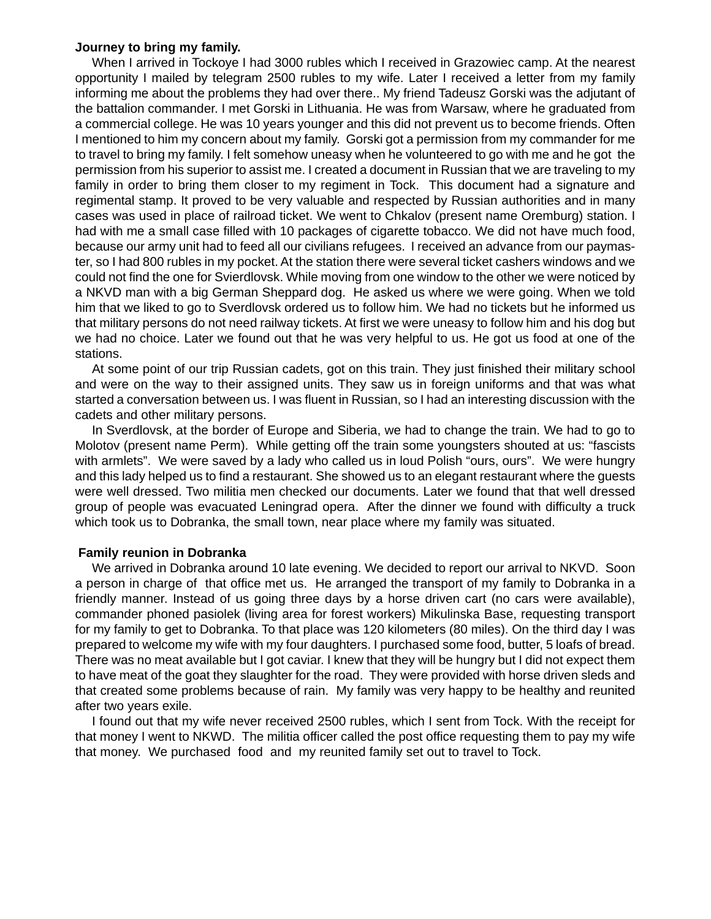# **Journey to bring my family.**

When I arrived in Tockoye I had 3000 rubles which I received in Grazowiec camp. At the nearest opportunity I mailed by telegram 2500 rubles to my wife. Later I received a letter from my family informing me about the problems they had over there.. My friend Tadeusz Gorski was the adjutant of the battalion commander. I met Gorski in Lithuania. He was from Warsaw, where he graduated from a commercial college. He was 10 years younger and this did not prevent us to become friends. Often I mentioned to him my concern about my family. Gorski got a permission from my commander for me to travel to bring my family. I felt somehow uneasy when he volunteered to go with me and he got the permission from his superior to assist me. I created a document in Russian that we are traveling to my family in order to bring them closer to my regiment in Tock. This document had a signature and regimental stamp. It proved to be very valuable and respected by Russian authorities and in many cases was used in place of railroad ticket. We went to Chkalov (present name Oremburg) station. I had with me a small case filled with 10 packages of cigarette tobacco. We did not have much food, because our army unit had to feed all our civilians refugees. I received an advance from our paymaster, so I had 800 rubles in my pocket. At the station there were several ticket cashers windows and we could not find the one for Svierdlovsk. While moving from one window to the other we were noticed by a NKVD man with a big German Sheppard dog. He asked us where we were going. When we told him that we liked to go to Sverdlovsk ordered us to follow him. We had no tickets but he informed us that military persons do not need railway tickets. At first we were uneasy to follow him and his dog but we had no choice. Later we found out that he was very helpful to us. He got us food at one of the stations.

At some point of our trip Russian cadets, got on this train. They just finished their military school and were on the way to their assigned units. They saw us in foreign uniforms and that was what started a conversation between us. I was fluent in Russian, so I had an interesting discussion with the cadets and other military persons.

In Sverdlovsk, at the border of Europe and Siberia, we had to change the train. We had to go to Molotov (present name Perm). While getting off the train some youngsters shouted at us: "fascists with armlets". We were saved by a lady who called us in loud Polish "ours, ours". We were hungry and this lady helped us to find a restaurant. She showed us to an elegant restaurant where the guests were well dressed. Two militia men checked our documents. Later we found that that well dressed group of people was evacuated Leningrad opera. After the dinner we found with difficulty a truck which took us to Dobranka, the small town, near place where my family was situated.

# **Family reunion in Dobranka**

We arrived in Dobranka around 10 late evening. We decided to report our arrival to NKVD. Soon a person in charge of that office met us. He arranged the transport of my family to Dobranka in a friendly manner. Instead of us going three days by a horse driven cart (no cars were available), commander phoned pasiolek (living area for forest workers) Mikulinska Base, requesting transport for my family to get to Dobranka. To that place was 120 kilometers (80 miles). On the third day I was prepared to welcome my wife with my four daughters. I purchased some food, butter, 5 loafs of bread. There was no meat available but I got caviar. I knew that they will be hungry but I did not expect them to have meat of the goat they slaughter for the road. They were provided with horse driven sleds and that created some problems because of rain. My family was very happy to be healthy and reunited after two years exile.

I found out that my wife never received 2500 rubles, which I sent from Tock. With the receipt for that money I went to NKWD. The militia officer called the post office requesting them to pay my wife that money. We purchased food and my reunited family set out to travel to Tock.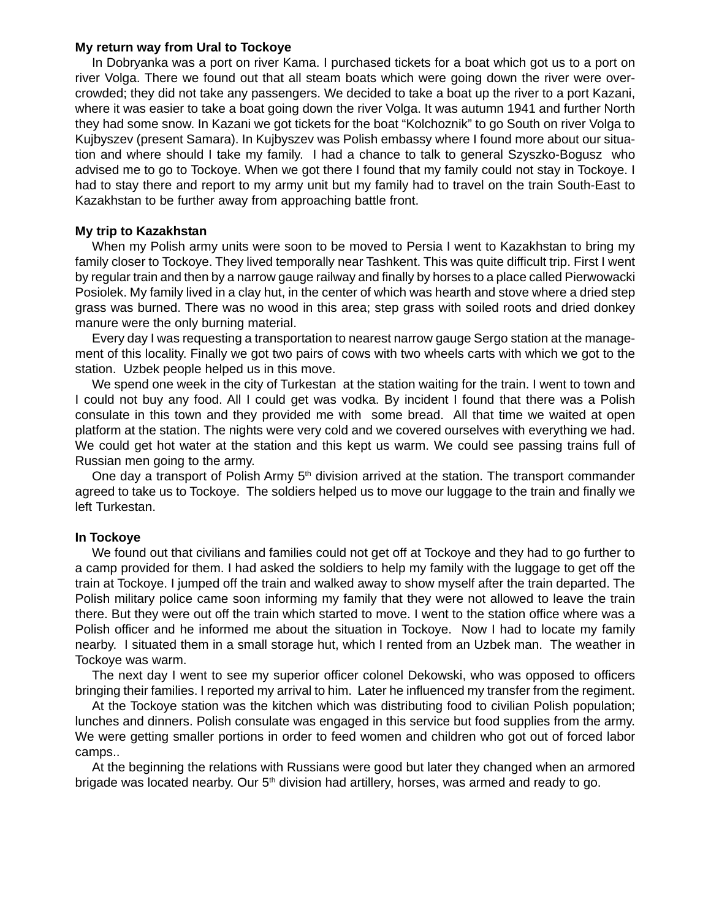#### **My return way from Ural to Tockoye**

In Dobryanka was a port on river Kama. I purchased tickets for a boat which got us to a port on river Volga. There we found out that all steam boats which were going down the river were overcrowded; they did not take any passengers. We decided to take a boat up the river to a port Kazani, where it was easier to take a boat going down the river Volga. It was autumn 1941 and further North they had some snow. In Kazani we got tickets for the boat "Kolchoznik" to go South on river Volga to Kujbyszev (present Samara). In Kujbyszev was Polish embassy where I found more about our situation and where should I take my family. I had a chance to talk to general Szyszko-Bogusz who advised me to go to Tockoye. When we got there I found that my family could not stay in Tockoye. I had to stay there and report to my army unit but my family had to travel on the train South-East to Kazakhstan to be further away from approaching battle front.

# **My trip to Kazakhstan**

When my Polish army units were soon to be moved to Persia I went to Kazakhstan to bring my family closer to Tockoye. They lived temporally near Tashkent. This was quite difficult trip. First I went by regular train and then by a narrow gauge railway and finally by horses to a place called Pierwowacki Posiolek. My family lived in a clay hut, in the center of which was hearth and stove where a dried step grass was burned. There was no wood in this area; step grass with soiled roots and dried donkey manure were the only burning material.

Every day I was requesting a transportation to nearest narrow gauge Sergo station at the management of this locality. Finally we got two pairs of cows with two wheels carts with which we got to the station. Uzbek people helped us in this move.

We spend one week in the city of Turkestan at the station waiting for the train. I went to town and I could not buy any food. All I could get was vodka. By incident I found that there was a Polish consulate in this town and they provided me with some bread. All that time we waited at open platform at the station. The nights were very cold and we covered ourselves with everything we had. We could get hot water at the station and this kept us warm. We could see passing trains full of Russian men going to the army.

One day a transport of Polish Army  $5<sup>th</sup>$  division arrived at the station. The transport commander agreed to take us to Tockoye. The soldiers helped us to move our luggage to the train and finally we left Turkestan.

# **In Tockoye**

We found out that civilians and families could not get off at Tockoye and they had to go further to a camp provided for them. I had asked the soldiers to help my family with the luggage to get off the train at Tockoye. I jumped off the train and walked away to show myself after the train departed. The Polish military police came soon informing my family that they were not allowed to leave the train there. But they were out off the train which started to move. I went to the station office where was a Polish officer and he informed me about the situation in Tockoye. Now I had to locate my family nearby. I situated them in a small storage hut, which I rented from an Uzbek man. The weather in Tockoye was warm.

The next day I went to see my superior officer colonel Dekowski, who was opposed to officers bringing their families. I reported my arrival to him. Later he influenced my transfer from the regiment.

At the Tockoye station was the kitchen which was distributing food to civilian Polish population; lunches and dinners. Polish consulate was engaged in this service but food supplies from the army. We were getting smaller portions in order to feed women and children who got out of forced labor camps..

At the beginning the relations with Russians were good but later they changed when an armored brigade was located nearby. Our  $5<sup>th</sup>$  division had artillery, horses, was armed and ready to go.